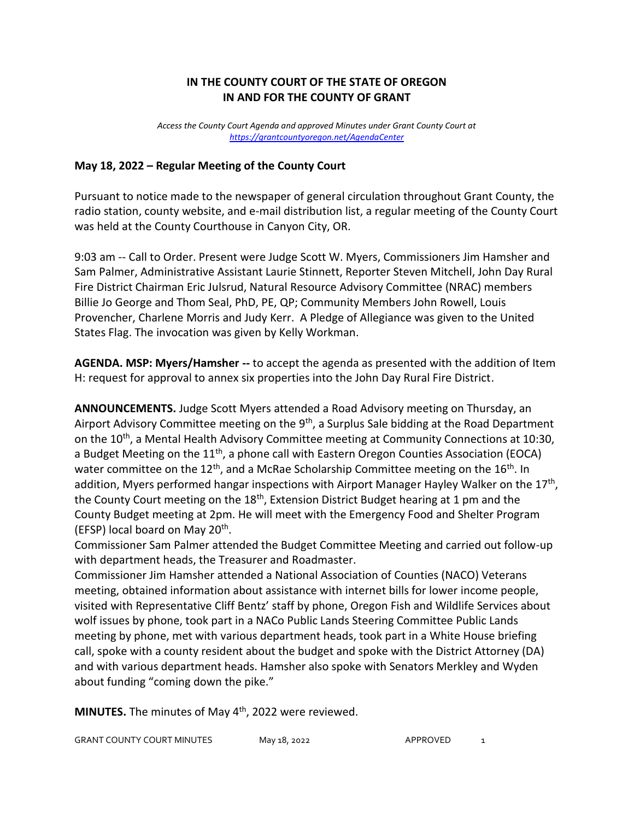## **IN THE COUNTY COURT OF THE STATE OF OREGON IN AND FOR THE COUNTY OF GRANT**

*Access the County Court Agenda and approved Minutes under Grant County Court at <https://grantcountyoregon.net/AgendaCenter>*

## **May 18, 2022 – Regular Meeting of the County Court**

Pursuant to notice made to the newspaper of general circulation throughout Grant County, the radio station, county website, and e-mail distribution list, a regular meeting of the County Court was held at the County Courthouse in Canyon City, OR.

9:03 am -- Call to Order. Present were Judge Scott W. Myers, Commissioners Jim Hamsher and Sam Palmer, Administrative Assistant Laurie Stinnett, Reporter Steven Mitchell, John Day Rural Fire District Chairman Eric Julsrud, Natural Resource Advisory Committee (NRAC) members Billie Jo George and Thom Seal, PhD, PE, QP; Community Members John Rowell, Louis Provencher, Charlene Morris and Judy Kerr. A Pledge of Allegiance was given to the United States Flag. The invocation was given by Kelly Workman.

**AGENDA. MSP: Myers/Hamsher --** to accept the agenda as presented with the addition of Item H: request for approval to annex six properties into the John Day Rural Fire District.

**ANNOUNCEMENTS.** Judge Scott Myers attended a Road Advisory meeting on Thursday, an Airport Advisory Committee meeting on the 9<sup>th</sup>, a Surplus Sale bidding at the Road Department on the 10<sup>th</sup>, a Mental Health Advisory Committee meeting at Community Connections at 10:30, a Budget Meeting on the 11<sup>th</sup>, a phone call with Eastern Oregon Counties Association (EOCA) water committee on the 12<sup>th</sup>, and a McRae Scholarship Committee meeting on the 16<sup>th</sup>. In addition, Myers performed hangar inspections with Airport Manager Hayley Walker on the 17<sup>th</sup>, the County Court meeting on the 18<sup>th</sup>, Extension District Budget hearing at 1 pm and the County Budget meeting at 2pm. He will meet with the Emergency Food and Shelter Program (EFSP) local board on May 20<sup>th</sup>.

Commissioner Sam Palmer attended the Budget Committee Meeting and carried out follow-up with department heads, the Treasurer and Roadmaster.

Commissioner Jim Hamsher attended a National Association of Counties (NACO) Veterans meeting, obtained information about assistance with internet bills for lower income people, visited with Representative Cliff Bentz' staff by phone, Oregon Fish and Wildlife Services about wolf issues by phone, took part in a NACo Public Lands Steering Committee Public Lands meeting by phone, met with various department heads, took part in a White House briefing call, spoke with a county resident about the budget and spoke with the District Attorney (DA) and with various department heads. Hamsher also spoke with Senators Merkley and Wyden about funding "coming down the pike."

**MINUTES.** The minutes of May 4<sup>th</sup>, 2022 were reviewed.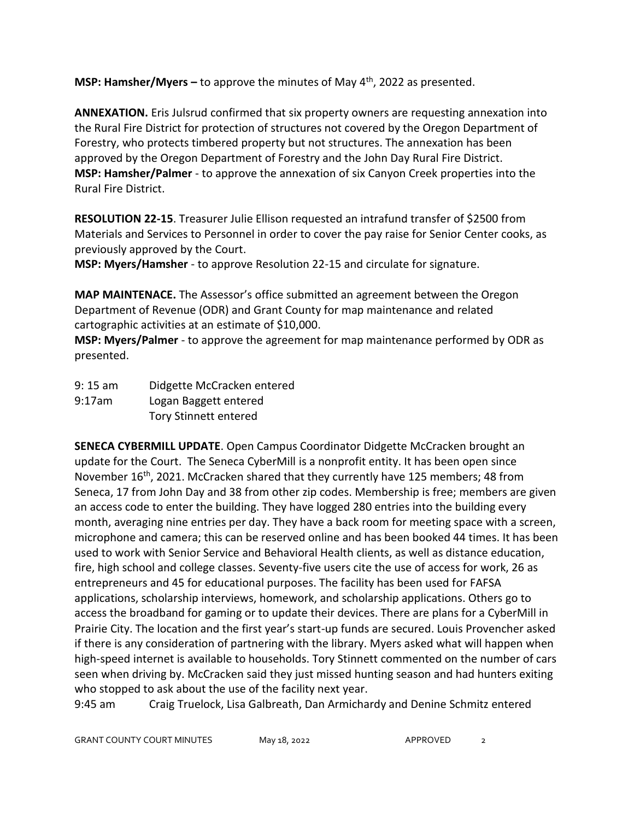**MSP: Hamsher/Myers –** to approve the minutes of May 4th, 2022 as presented.

**ANNEXATION.** Eris Julsrud confirmed that six property owners are requesting annexation into the Rural Fire District for protection of structures not covered by the Oregon Department of Forestry, who protects timbered property but not structures. The annexation has been approved by the Oregon Department of Forestry and the John Day Rural Fire District. **MSP: Hamsher/Palmer** - to approve the annexation of six Canyon Creek properties into the Rural Fire District.

**RESOLUTION 22-15**. Treasurer Julie Ellison requested an intrafund transfer of \$2500 from Materials and Services to Personnel in order to cover the pay raise for Senior Center cooks, as previously approved by the Court.

**MSP: Myers/Hamsher** - to approve Resolution 22-15 and circulate for signature.

**MAP MAINTENACE.** The Assessor's office submitted an agreement between the Oregon Department of Revenue (ODR) and Grant County for map maintenance and related cartographic activities at an estimate of \$10,000.

**MSP: Myers/Palmer** - to approve the agreement for map maintenance performed by ODR as presented.

9: 15 am Didgette McCracken entered 9:17am Logan Baggett entered Tory Stinnett entered

**SENECA CYBERMILL UPDATE**. Open Campus Coordinator Didgette McCracken brought an update for the Court. The Seneca CyberMill is a nonprofit entity. It has been open since November  $16<sup>th</sup>$ , 2021. McCracken shared that they currently have 125 members; 48 from Seneca, 17 from John Day and 38 from other zip codes. Membership is free; members are given an access code to enter the building. They have logged 280 entries into the building every month, averaging nine entries per day. They have a back room for meeting space with a screen, microphone and camera; this can be reserved online and has been booked 44 times. It has been used to work with Senior Service and Behavioral Health clients, as well as distance education, fire, high school and college classes. Seventy-five users cite the use of access for work, 26 as entrepreneurs and 45 for educational purposes. The facility has been used for FAFSA applications, scholarship interviews, homework, and scholarship applications. Others go to access the broadband for gaming or to update their devices. There are plans for a CyberMill in Prairie City. The location and the first year's start-up funds are secured. Louis Provencher asked if there is any consideration of partnering with the library. Myers asked what will happen when high-speed internet is available to households. Tory Stinnett commented on the number of cars seen when driving by. McCracken said they just missed hunting season and had hunters exiting who stopped to ask about the use of the facility next year.

9:45 am Craig Truelock, Lisa Galbreath, Dan Armichardy and Denine Schmitz entered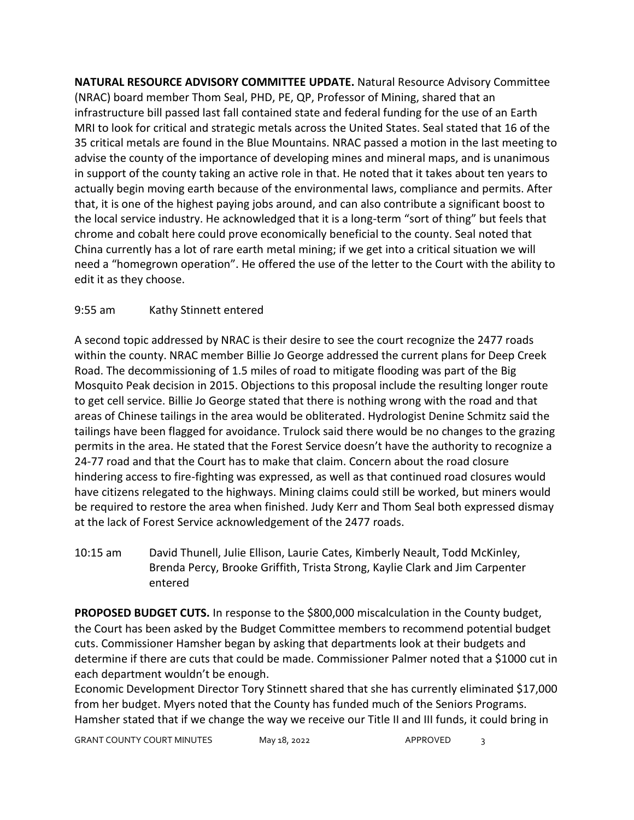**NATURAL RESOURCE ADVISORY COMMITTEE UPDATE.** Natural Resource Advisory Committee (NRAC) board member Thom Seal, PHD, PE, QP, Professor of Mining, shared that an infrastructure bill passed last fall contained state and federal funding for the use of an Earth MRI to look for critical and strategic metals across the United States. Seal stated that 16 of the 35 critical metals are found in the Blue Mountains. NRAC passed a motion in the last meeting to advise the county of the importance of developing mines and mineral maps, and is unanimous in support of the county taking an active role in that. He noted that it takes about ten years to actually begin moving earth because of the environmental laws, compliance and permits. After that, it is one of the highest paying jobs around, and can also contribute a significant boost to the local service industry. He acknowledged that it is a long-term "sort of thing" but feels that chrome and cobalt here could prove economically beneficial to the county. Seal noted that China currently has a lot of rare earth metal mining; if we get into a critical situation we will need a "homegrown operation". He offered the use of the letter to the Court with the ability to edit it as they choose.

## 9:55 am Kathy Stinnett entered

A second topic addressed by NRAC is their desire to see the court recognize the 2477 roads within the county. NRAC member Billie Jo George addressed the current plans for Deep Creek Road. The decommissioning of 1.5 miles of road to mitigate flooding was part of the Big Mosquito Peak decision in 2015. Objections to this proposal include the resulting longer route to get cell service. Billie Jo George stated that there is nothing wrong with the road and that areas of Chinese tailings in the area would be obliterated. Hydrologist Denine Schmitz said the tailings have been flagged for avoidance. Trulock said there would be no changes to the grazing permits in the area. He stated that the Forest Service doesn't have the authority to recognize a 24-77 road and that the Court has to make that claim. Concern about the road closure hindering access to fire-fighting was expressed, as well as that continued road closures would have citizens relegated to the highways. Mining claims could still be worked, but miners would be required to restore the area when finished. Judy Kerr and Thom Seal both expressed dismay at the lack of Forest Service acknowledgement of the 2477 roads.

10:15 am David Thunell, Julie Ellison, Laurie Cates, Kimberly Neault, Todd McKinley, Brenda Percy, Brooke Griffith, Trista Strong, Kaylie Clark and Jim Carpenter entered

**PROPOSED BUDGET CUTS.** In response to the \$800,000 miscalculation in the County budget, the Court has been asked by the Budget Committee members to recommend potential budget cuts. Commissioner Hamsher began by asking that departments look at their budgets and determine if there are cuts that could be made. Commissioner Palmer noted that a \$1000 cut in each department wouldn't be enough.

Economic Development Director Tory Stinnett shared that she has currently eliminated \$17,000 from her budget. Myers noted that the County has funded much of the Seniors Programs. Hamsher stated that if we change the way we receive our Title II and III funds, it could bring in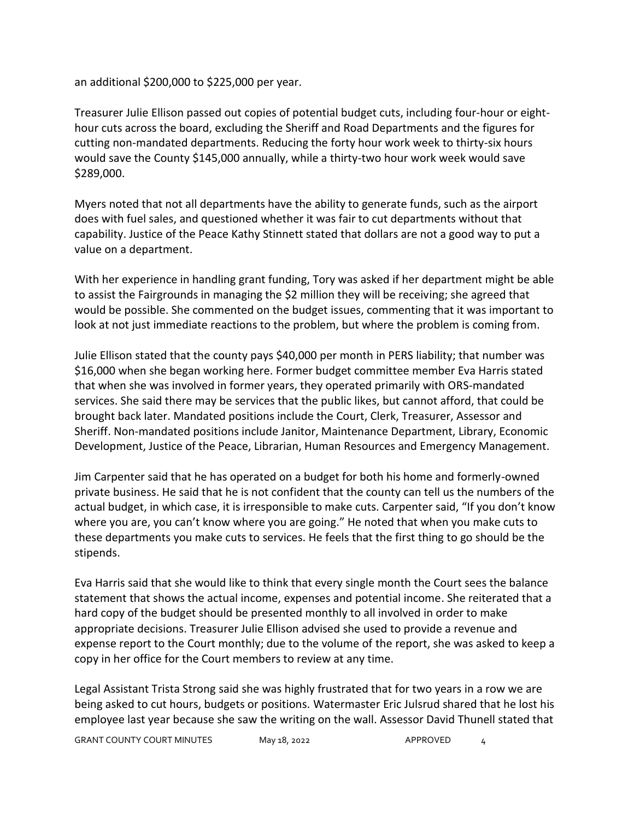an additional \$200,000 to \$225,000 per year.

Treasurer Julie Ellison passed out copies of potential budget cuts, including four-hour or eighthour cuts across the board, excluding the Sheriff and Road Departments and the figures for cutting non-mandated departments. Reducing the forty hour work week to thirty-six hours would save the County \$145,000 annually, while a thirty-two hour work week would save \$289,000.

Myers noted that not all departments have the ability to generate funds, such as the airport does with fuel sales, and questioned whether it was fair to cut departments without that capability. Justice of the Peace Kathy Stinnett stated that dollars are not a good way to put a value on a department.

With her experience in handling grant funding, Tory was asked if her department might be able to assist the Fairgrounds in managing the \$2 million they will be receiving; she agreed that would be possible. She commented on the budget issues, commenting that it was important to look at not just immediate reactions to the problem, but where the problem is coming from.

Julie Ellison stated that the county pays \$40,000 per month in PERS liability; that number was \$16,000 when she began working here. Former budget committee member Eva Harris stated that when she was involved in former years, they operated primarily with ORS-mandated services. She said there may be services that the public likes, but cannot afford, that could be brought back later. Mandated positions include the Court, Clerk, Treasurer, Assessor and Sheriff. Non-mandated positions include Janitor, Maintenance Department, Library, Economic Development, Justice of the Peace, Librarian, Human Resources and Emergency Management.

Jim Carpenter said that he has operated on a budget for both his home and formerly-owned private business. He said that he is not confident that the county can tell us the numbers of the actual budget, in which case, it is irresponsible to make cuts. Carpenter said, "If you don't know where you are, you can't know where you are going." He noted that when you make cuts to these departments you make cuts to services. He feels that the first thing to go should be the stipends.

Eva Harris said that she would like to think that every single month the Court sees the balance statement that shows the actual income, expenses and potential income. She reiterated that a hard copy of the budget should be presented monthly to all involved in order to make appropriate decisions. Treasurer Julie Ellison advised she used to provide a revenue and expense report to the Court monthly; due to the volume of the report, she was asked to keep a copy in her office for the Court members to review at any time.

Legal Assistant Trista Strong said she was highly frustrated that for two years in a row we are being asked to cut hours, budgets or positions. Watermaster Eric Julsrud shared that he lost his employee last year because she saw the writing on the wall. Assessor David Thunell stated that